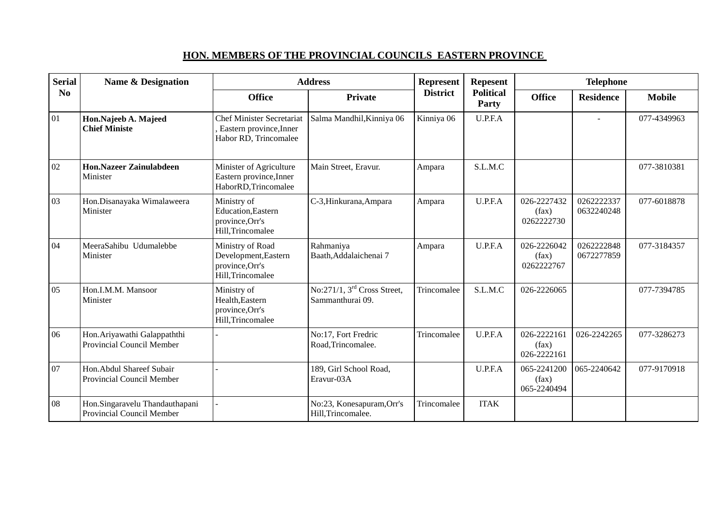## **HON. MEMBERS OF THE PROVINCIAL COUNCILS EASTERN PROVINCE**

| <b>Serial</b>  | <b>Name &amp; Designation</b>                               | <b>Address</b>                                                                         |                                                   | Represent       | <b>Repesent</b>           | <b>Telephone</b>                    |                          |               |
|----------------|-------------------------------------------------------------|----------------------------------------------------------------------------------------|---------------------------------------------------|-----------------|---------------------------|-------------------------------------|--------------------------|---------------|
| N <sub>0</sub> |                                                             | <b>Office</b>                                                                          | <b>Private</b>                                    | <b>District</b> | <b>Political</b><br>Party | <b>Office</b>                       | <b>Residence</b>         | <b>Mobile</b> |
| 01             | Hon.Najeeb A. Majeed<br><b>Chief Ministe</b>                | <b>Chef Minister Secretariat</b><br>, Eastern province, Inner<br>Habor RD, Trincomalee | Salma Mandhil, Kinniya 06                         | Kinniya 06      | U.P.F.A                   |                                     |                          | 077-4349963   |
| 02             | <b>Hon.Nazeer Zainulabdeen</b><br>Minister                  | Minister of Agriculture<br>Eastern province, Inner<br>HaborRD, Trincomalee             | Main Street, Eravur.                              | Ampara          | S.L.M.C                   |                                     |                          | 077-3810381   |
| 03             | Hon.Disanayaka Wimalaweera<br>Minister                      | Ministry of<br>Education, Eastern<br>province, Orr's<br>Hill, Trincomalee              | C-3, Hinkurana, Ampara                            | Ampara          | U.P.F.A                   | 026-2227432<br>(fax)<br>0262222730  | 0262222337<br>0632240248 | 077-6018878   |
| 04             | MeeraSahibu Udumalebbe<br>Minister                          | Ministry of Road<br>Development, Eastern<br>province, Orr's<br>Hill, Trincomalee       | Rahmaniya<br>Baath, Addalaichenai 7               | Ampara          | U.P.F.A                   | 026-2226042<br>(fax)<br>0262222767  | 0262222848<br>0672277859 | 077-3184357   |
| 05             | Hon.I.M.M. Mansoor<br>Minister                              | Ministry of<br>Health, Eastern<br>province, Orr's<br>Hill, Trincomalee                 | No:271/1, $3rd$ Cross Street,<br>Sammanthurai 09. | Trincomalee     | S.L.M.C                   | 026-2226065                         |                          | 077-7394785   |
| 06             | Hon. Ariyawathi Galappaththi<br>Provincial Council Member   |                                                                                        | No:17, Fort Fredric<br>Road, Trincomalee.         | Trincomalee     | U.P.F.A                   | 026-2222161<br>(fax)<br>026-2222161 | 026-2242265              | 077-3286273   |
| 07             | Hon. Abdul Shareef Subair<br>Provincial Council Member      |                                                                                        | 189, Girl School Road,<br>Eravur-03A              |                 | U.P.F.A                   | 065-2241200<br>(fax)<br>065-2240494 | 065-2240642              | 077-9170918   |
| 08             | Hon.Singaravelu Thandauthapani<br>Provincial Council Member |                                                                                        | No:23, Konesapuram, Orr's<br>Hill, Trincomalee.   | Trincomalee     | <b>ITAK</b>               |                                     |                          |               |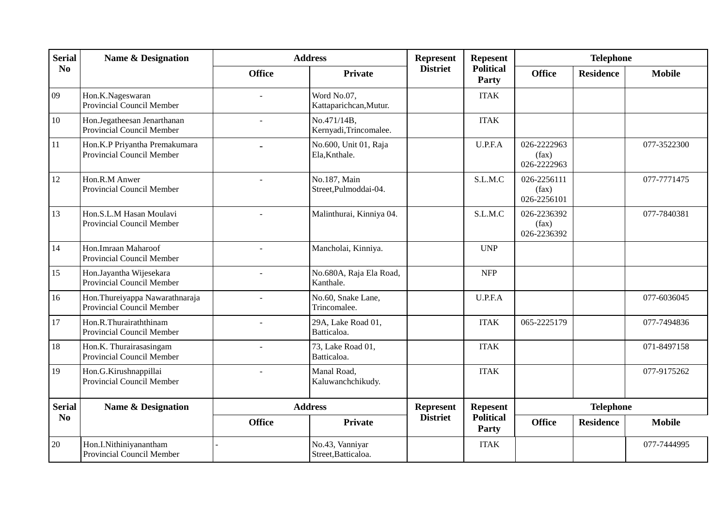| <b>Serial</b>  | <b>Name &amp; Designation</b>                               | <b>Address</b> |                                        | <b>Represent</b> | <b>Repesent</b>           | <b>Telephone</b>                    |                  |               |
|----------------|-------------------------------------------------------------|----------------|----------------------------------------|------------------|---------------------------|-------------------------------------|------------------|---------------|
| N <sub>0</sub> |                                                             | <b>Office</b>  | Private                                | <b>District</b>  | <b>Political</b><br>Party | <b>Office</b>                       | <b>Residence</b> | <b>Mobile</b> |
| 09             | Hon.K.Nageswaran<br>Provincial Council Member               |                | Word No.07,<br>Kattaparichcan, Mutur.  |                  | <b>ITAK</b>               |                                     |                  |               |
| 10             | Hon.Jegatheesan Jenarthanan<br>Provincial Council Member    |                | No.471/14B,<br>Kernyadi, Trincomalee.  |                  | <b>ITAK</b>               |                                     |                  |               |
| 11             | Hon.K.P Priyantha Premakumara<br>Provincial Council Member  |                | No.600, Unit 01, Raja<br>Ela, Knthale. |                  | U.P.F.A                   | 026-2222963<br>(fax)<br>026-2222963 |                  | 077-3522300   |
| 12             | Hon.R.M Anwer<br>Provincial Council Member                  | $\overline{a}$ | No.187, Main<br>Street, Pulmoddai-04.  |                  | S.L.M.C                   | 026-2256111<br>(fax)<br>026-2256101 |                  | 077-7771475   |
| 13             | Hon.S.L.M Hasan Moulavi<br>Provincial Council Member        |                | Malinthurai, Kinniya 04.               |                  | S.L.M.C                   | 026-2236392<br>(fax)<br>026-2236392 |                  | 077-7840381   |
| 14             | Hon.Imraan Maharoof<br>Provincial Council Member            |                | Mancholai, Kinniya.                    |                  | <b>UNP</b>                |                                     |                  |               |
| 15             | Hon.Jayantha Wijesekara<br><b>Provincial Council Member</b> |                | No.680A, Raja Ela Road,<br>Kanthale.   |                  | <b>NFP</b>                |                                     |                  |               |
| 16             | Hon.Thureiyappa Nawarathnaraja<br>Provincial Council Member |                | No.60, Snake Lane,<br>Trincomalee.     |                  | U.P.F.A                   |                                     |                  | 077-6036045   |
| 17             | Hon.R.Thurairaththinam<br>Provincial Council Member         |                | 29A, Lake Road 01,<br>Batticaloa.      |                  | <b>ITAK</b>               | 065-2225179                         |                  | 077-7494836   |
| 18             | Hon.K. Thurairasasingam<br>Provincial Council Member        |                | 73, Lake Road 01,<br>Batticaloa.       |                  | <b>ITAK</b>               |                                     |                  | 071-8497158   |
| 19             | Hon.G.Kirushnappillai<br>Provincial Council Member          | $\overline{a}$ | Manal Road,<br>Kaluwanchchikudy.       |                  | <b>ITAK</b>               |                                     |                  | 077-9175262   |
| <b>Serial</b>  | <b>Name &amp; Designation</b>                               | <b>Address</b> |                                        | <b>Represent</b> | <b>Repesent</b>           | <b>Telephone</b>                    |                  |               |
| No             |                                                             | <b>Office</b>  | <b>Private</b>                         | <b>District</b>  | <b>Political</b><br>Party | <b>Office</b>                       | <b>Residence</b> | <b>Mobile</b> |
| 20             | Hon.I.Nithiniyanantham<br>Provincial Council Member         |                | No.43, Vanniyar<br>Street, Batticaloa. |                  | <b>ITAK</b>               |                                     |                  | 077-7444995   |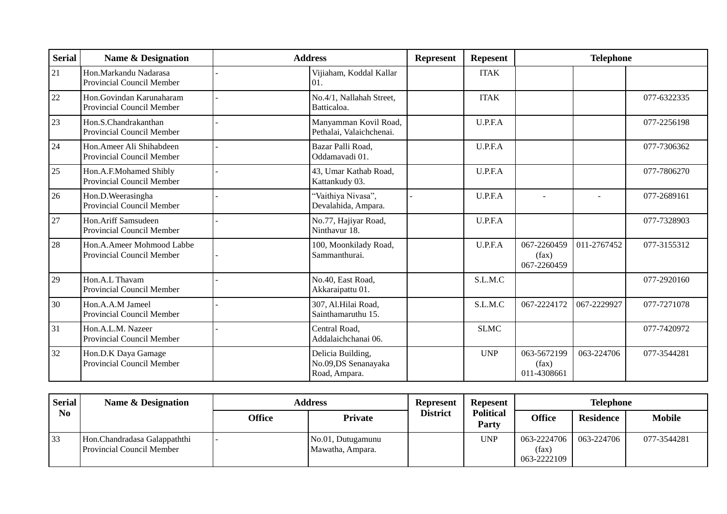| <b>Serial</b> | <b>Name &amp; Designation</b>                           | <b>Address</b>                                            | <b>Represent</b> | <b>Repesent</b> | <b>Telephone</b>                    |             |             |
|---------------|---------------------------------------------------------|-----------------------------------------------------------|------------------|-----------------|-------------------------------------|-------------|-------------|
| 21            | Hon.Markandu Nadarasa<br>Provincial Council Member      | Vijiaham, Koddal Kallar<br>01.                            |                  | <b>ITAK</b>     |                                     |             |             |
| 22            | Hon.Govindan Karunaharam<br>Provincial Council Member   | No.4/1, Nallahah Street,<br>Batticaloa.                   |                  | <b>ITAK</b>     |                                     |             | 077-6322335 |
| 23            | Hon.S.Chandrakanthan<br>Provincial Council Member       | Manyamman Kovil Road,<br>Pethalai, Valaichchenai.         |                  | U.P.F.A         |                                     |             | 077-2256198 |
| 24            | Hon.Ameer Ali Shihabdeen<br>Provincial Council Member   | Bazar Palli Road,<br>Oddamavadi 01.                       |                  | U.P.F.A         |                                     |             | 077-7306362 |
| 25            | Hon.A.F.Mohamed Shibly<br>Provincial Council Member     | 43, Umar Kathab Road,<br>Kattankudy 03.                   |                  | U.P.F.A         |                                     |             | 077-7806270 |
| 26            | Hon.D. Weerasingha<br>Provincial Council Member         | "Vaithiya Nivasa",<br>Devalahida, Ampara.                 |                  | U.P.F.A         |                                     |             | 077-2689161 |
| 27            | Hon.Ariff Samsudeen<br>Provincial Council Member        | No.77, Hajiyar Road,<br>Ninthavur 18.                     |                  | U.P.F.A         |                                     |             | 077-7328903 |
| 28            | Hon.A.Ameer Mohmood Labbe<br>Provincial Council Member  | 100, Moonkilady Road,<br>Sammanthurai.                    |                  | U.P.F.A         | 067-2260459<br>(fax)<br>067-2260459 | 011-2767452 | 077-3155312 |
| 29            | Hon.A.L Thavam<br>Provincial Council Member             | No.40, East Road,<br>Akkaraipattu 01.                     |                  | S.L.M.C         |                                     |             | 077-2920160 |
| 30            | Hon.A.A.M Jameel<br>Provincial Council Member           | 307, Al.Hilai Road,<br>Sainthamaruthu 15.                 |                  | S.L.M.C         | 067-2224172                         | 067-2229927 | 077-7271078 |
| 31            | Hon.A.L.M. Nazeer<br>Provincial Council Member          | Central Road,<br>Addalaichchanai 06.                      |                  | <b>SLMC</b>     |                                     |             | 077-7420972 |
| 32            | Hon.D.K Daya Gamage<br><b>Provincial Council Member</b> | Delicia Building,<br>No.09,DS Senanayaka<br>Road, Ampara. |                  | <b>UNP</b>      | 063-5672199<br>(fax)<br>011-4308661 | 063-224706  | 077-3544281 |

| <b>Serial</b>  | <b>Name &amp; Designation</b><br><b>Address</b>                  |               |                                       | <b>Represent</b> | <b>Repesent</b>           | <b>Telephone</b>                    |                  |               |
|----------------|------------------------------------------------------------------|---------------|---------------------------------------|------------------|---------------------------|-------------------------------------|------------------|---------------|
| N <sub>0</sub> |                                                                  | <b>Office</b> | <b>Private</b>                        | <b>District</b>  | <b>Political</b><br>Party | <b>Office</b>                       | <b>Residence</b> | <b>Mobile</b> |
| 33             | Hon.Chandradasa Galappaththi<br><b>Provincial Council Member</b> |               | No.01, Dutugamunu<br>Mawatha, Ampara. |                  | <b>UNP</b>                | 063-2224706<br>(fax)<br>063-2222109 | 063-224706       | 077-3544281   |